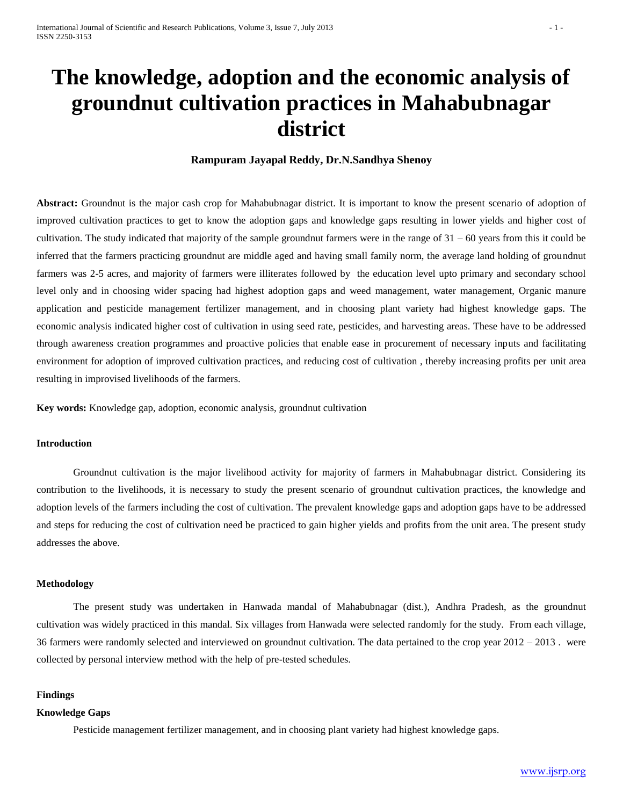# **The knowledge, adoption and the economic analysis of groundnut cultivation practices in Mahabubnagar district**

# **Rampuram Jayapal Reddy, Dr.N.Sandhya Shenoy**

Abstract: Groundnut is the major cash crop for Mahabubnagar district. It is important to know the present scenario of adoption of improved cultivation practices to get to know the adoption gaps and knowledge gaps resulting in lower yields and higher cost of cultivation. The study indicated that majority of the sample groundnut farmers were in the range of  $31 - 60$  years from this it could be inferred that the farmers practicing groundnut are middle aged and having small family norm, the average land holding of groundnut farmers was 2-5 acres, and majority of farmers were illiterates followed by the education level upto primary and secondary school level only and in choosing wider spacing had highest adoption gaps and weed management, water management, Organic manure application and pesticide management fertilizer management, and in choosing plant variety had highest knowledge gaps. The economic analysis indicated higher cost of cultivation in using seed rate, pesticides, and harvesting areas. These have to be addressed through awareness creation programmes and proactive policies that enable ease in procurement of necessary inputs and facilitating environment for adoption of improved cultivation practices, and reducing cost of cultivation , thereby increasing profits per unit area resulting in improvised livelihoods of the farmers.

**Key words:** Knowledge gap, adoption, economic analysis, groundnut cultivation

## **Introduction**

Groundnut cultivation is the major livelihood activity for majority of farmers in Mahabubnagar district. Considering its contribution to the livelihoods, it is necessary to study the present scenario of groundnut cultivation practices, the knowledge and adoption levels of the farmers including the cost of cultivation. The prevalent knowledge gaps and adoption gaps have to be addressed and steps for reducing the cost of cultivation need be practiced to gain higher yields and profits from the unit area. The present study addresses the above.

### **Methodology**

The present study was undertaken in Hanwada mandal of Mahabubnagar (dist.), Andhra Pradesh, as the groundnut cultivation was widely practiced in this mandal. Six villages from Hanwada were selected randomly for the study. From each village, 36 farmers were randomly selected and interviewed on groundnut cultivation. The data pertained to the crop year 2012 – 2013 . were collected by personal interview method with the help of pre-tested schedules.

#### **Findings**

## **Knowledge Gaps**

Pesticide management fertilizer management, and in choosing plant variety had highest knowledge gaps.